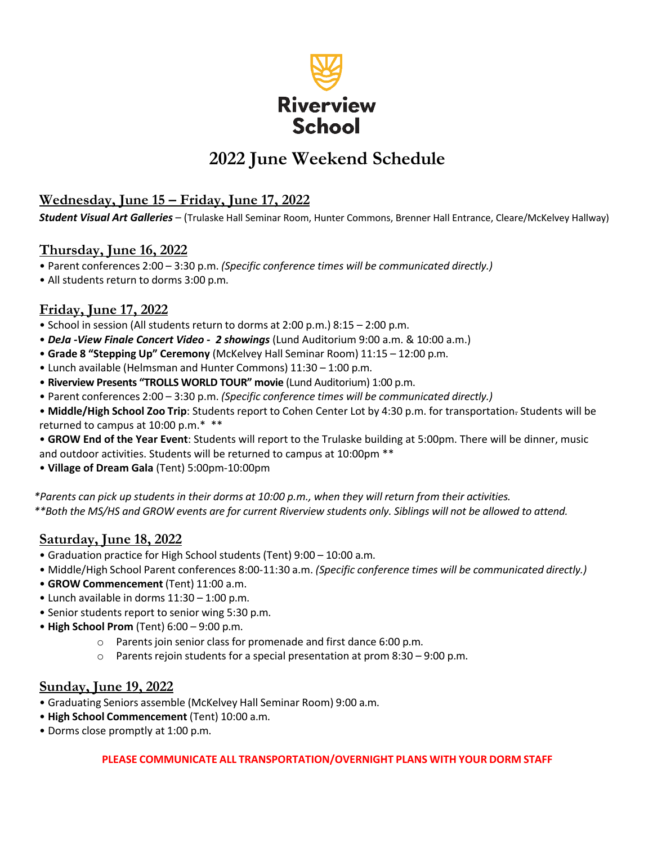

# **2022 June Weekend Schedule**

## **Wednesday, June 15 – Friday, June 17, 2022**

*Student Visual Art Galleries* – (Trulaske Hall Seminar Room, Hunter Commons, Brenner Hall Entrance, Cleare/McKelvey Hallway)

#### **Thursday, June 16, 2022**

- Parent conferences 2:00 3:30 p.m. *(Specific conference times will be communicated directly.)*
- All students return to dorms 3:00 p.m.

# **Friday, June 17, 2022**

- School in session (All students return to dorms at 2:00 p.m.) 8:15 2:00 p.m.
- *DeJa -View Finale Concert Video - 2 showings* (Lund Auditorium 9:00 a.m. & 10:00 a.m.)
- **Grade 8 "Stepping Up" Ceremony** (McKelvey Hall Seminar Room) 11:15 12:00 p.m.
- Lunch available (Helmsman and Hunter Commons) 11:30 1:00 p.m.
- **Riverview Presents "TROLLS WORLD TOUR" movie** (Lund Auditorium) 1:00 p.m.
- Parent conferences 2:00 3:30 p.m. *(Specific conference times will be communicated directly.)*
- **Middle/High School Zoo Trip**: Students report to Cohen Center Lot by 4:30 p.m. for transportation. Students will be returned to campus at 10:00 p.m.\* \*\*
- **GROW End of the Year Event**: Students will report to the Trulaske building at 5:00pm. There will be dinner, music and outdoor activities. Students will be returned to campus at 10:00pm \*\*
- **Village of Dream Gala** (Tent) 5:00pm-10:00pm

\*Parents can pick up students in their dorms at 10:00 p.m., when they will return from their activities. *\*\*Both the MS/HS and GROW events are for current Riverview students only. Siblings will not be allowed to attend.*

#### **Saturday, June 18, 2022**

- Graduation practice for High School students (Tent) 9:00 10:00 a.m.
- Middle/High School Parent conferences 8:00-11:30 a.m. *(Specific conference times will be communicated directly.)*
- **GROW Commencement** (Tent) 11:00 a.m.
- Lunch available in dorms 11:30 1:00 p.m.
- Senior students report to senior wing 5:30 p.m.
- **High School Prom** (Tent) 6:00 9:00 p.m.
	- o Parents join senior class for promenade and first dance 6:00 p.m.
	- $\circ$  Parents rejoin students for a special presentation at prom 8:30 9:00 p.m.

#### **Sunday, June 19, 2022**

- Graduating Seniors assemble (McKelvey Hall Seminar Room) 9:00 a.m.
- **High School Commencement** (Tent) 10:00 a.m.
- Dorms close promptly at 1:00 p.m.

#### **PLEASE COMMUNICATE ALL TRANSPORTATION/OVERNIGHT PLANS WITH YOUR DORM STAFF**